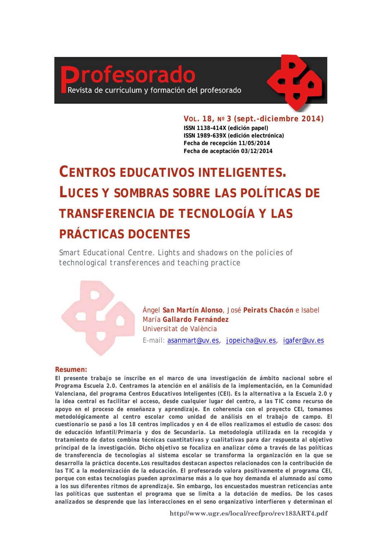## **Drofesorado**

Revista de currículum y formación del profesorado



**VOL. 18, Nº 3 (sept.-diciembre 2014)**

**ISSN 1138-414X (edición papel) ISSN 1989-639X (edición electrónica) Fecha de recepción 11/05/2014 Fecha de aceptación 03/12/2014** 

## **CENTROS EDUCATIVOS INTELIGENTES. LUCES Y SOMBRAS SOBRE LAS POLÍTICAS DE TRANSFERENCIA DE TECNOLOGÍA Y LAS PRÁCTICAS DOCENTES**

*Smart Educational Centre. Lights and shadows on the policies of technological transferences and teaching practice*



E-mail: asanmart@uv.es*,* jopeicha@uv.es*,* igafer@uv.es

## **Resumen:**

*El presente trabajo se inscribe en el marco de una investigación de ámbito nacional sobre el Programa Escuela 2.0. Centramos la atención en el análisis de la implementación, en la Comunidad Valenciana, del programa Centros Educativos Inteligentes (CEI). Es la alternativa a la Escuela 2.0 y la idea central es facilitar el acceso, desde cualquier lugar del centro, a las TIC como recurso de apoyo en el proceso de enseñanza y aprendizaje. En coherencia con el proyecto CEI, tomamos metodológicamente al centro escolar como unidad de análisis en el trabajo de campo. El cuestionario se pasó a los 18 centros implicados y en 4 de ellos realizamos el estudio de casos: dos de educación Infantil/Primaria y dos de Secundaria. La metodología utilizada en la recogida y tratamiento de datos combina técnicas cuantitativas y cualitativas para dar respuesta al objetivo principal de la investigación. Dicho objetivo se focaliza en analizar cómo a través de las políticas de transferencia de tecnologías al sistema escolar se transforma la organización en la que se desarrolla la práctica docente.Los resultados destacan aspectos relacionados con la contribución de las TIC a la modernización de la educación. El profesorado valora positivamente el programa CEI, porque con estas tecnologías pueden aproximarse más a lo que hoy demanda el alumnado así como a los sus diferentes ritmos de aprendizaje. Sin embargo, los encuestados muestran reticencias ante las políticas que sustentan el programa que se limita a la dotación de medios. De los casos analizados se desprende que las interacciones en el seno organizativo interfieren y determinan el*

**http://www.ugr.es/local/recfpro/rev183ART4.pdf**